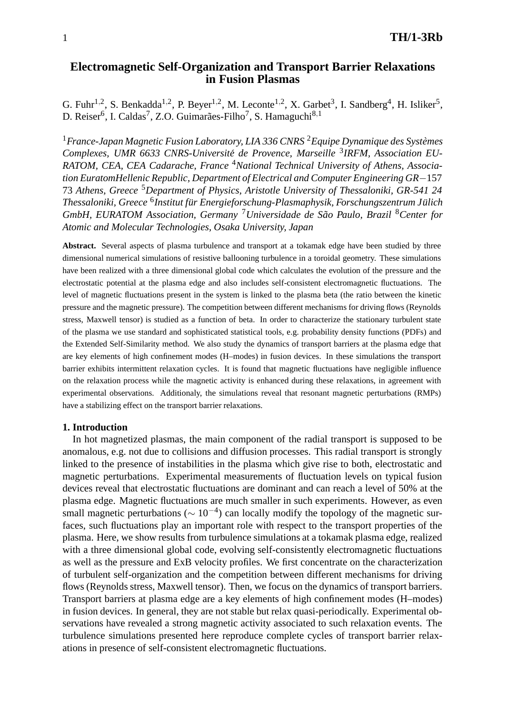# **Electromagnetic Self-Organization and Transport Barrier Relaxations in Fusion Plasmas**

G. Fuhr<sup>1,2</sup>, S. Benkadda<sup>1,2</sup>, P. Beyer<sup>1,2</sup>, M. Leconte<sup>1,2</sup>, X. Garbet<sup>3</sup>, I. Sandberg<sup>4</sup>, H. Isliker<sup>5</sup>, D. Reiser<sup>6</sup>, I. Caldas<sup>7</sup>, Z.O. Guimarães-Filho<sup>7</sup>, S. Hamaguchi<sup>8,1</sup>

<sup>1</sup>*France-Japan Magnetic Fusion Laboratory, LIA 336 CNRS* <sup>2</sup>*Equipe Dynamique des Systemes ` Complexes, UMR 6633 CNRS-Universite de Provence, Marseille ´* <sup>3</sup>*IRFM, Association EU-RATOM, CEA, CEA Cadarache, France* <sup>4</sup>*National Technical University of Athens, Association EuratomHellenic Republic, Department of Electrical and Computer Engineering GR*−157 73 *Athens, Greece* <sup>5</sup>*Department of Physics, Aristotle University of Thessaloniki, GR-541 24 Thessaloniki, Greece* <sup>6</sup>*Institut fur Energieforschung-Plasmaphysik, Forschungszentrum J ¨ ulich ¨ GmbH, EURATOM Association, Germany* <sup>7</sup>*Universidade de Sao Paulo, Brazil ˜* <sup>8</sup>*Center for Atomic and Molecular Technologies, Osaka University, Japan*

**Abstract.** Several aspects of plasma turbulence and transport at a tokamak edge have been studied by three dimensional numerical simulations of resistive ballooning turbulence in a toroidal geometry. These simulations have been realized with a three dimensional global code which calculates the evolution of the pressure and the electrostatic potential at the plasma edge and also includes self-consistent electromagnetic fluctuations. The level of magnetic fluctuations present in the system is linked to the plasma beta (the ratio between the kinetic pressure and the magnetic pressure). The competition between different mechanisms for driving flows (Reynolds stress, Maxwell tensor) is studied as a function of beta. In order to characterize the stationary turbulent state of the plasma we use standard and sophisticated statistical tools, e.g. probability density functions (PDFs) and the Extended Self-Similarity method. We also study the dynamics of transport barriers at the plasma edge that are key elements of high confinement modes (H–modes) in fusion devices. In these simulations the transport barrier exhibits intermittent relaxation cycles. It is found that magnetic fluctuations have negligible influence on the relaxation process while the magnetic activity is enhanced during these relaxations, in agreement with experimental observations. Additionaly, the simulations reveal that resonant magnetic perturbations (RMPs) have a stabilizing effect on the transport barrier relaxations.

#### **1. Introduction**

In hot magnetized plasmas, the main component of the radial transport is supposed to be anomalous, e.g. not due to collisions and diffusion processes. This radial transport is strongly linked to the presence of instabilities in the plasma which give rise to both, electrostatic and magnetic perturbations. Experimental measurements of fluctuation levels on typical fusion devices reveal that electrostatic fluctuations are dominant and can reach a level of 50% at the plasma edge. Magnetic fluctuations are much smaller in such experiments. However, as even small magnetic perturbations ( $\sim 10^{-4}$ ) can locally modify the topology of the magnetic surfaces, such fluctuations play an important role with respect to the transport properties of the plasma. Here, we show results from turbulence simulations at a tokamak plasma edge, realized with a three dimensional global code, evolving self-consistently electromagnetic fluctuations as well as the pressure and ExB velocity profiles. We first concentrate on the characterization of turbulent self-organization and the competition between different mechanisms for driving flows (Reynolds stress, Maxwell tensor). Then, we focus on the dynamics of transport barriers. Transport barriers at plasma edge are a key elements of high confinement modes (H–modes) in fusion devices. In general, they are not stable but relax quasi-periodically. Experimental observations have revealed a strong magnetic activity associated to such relaxation events. The turbulence simulations presented here reproduce complete cycles of transport barrier relaxations in presence of self-consistent electromagnetic fluctuations.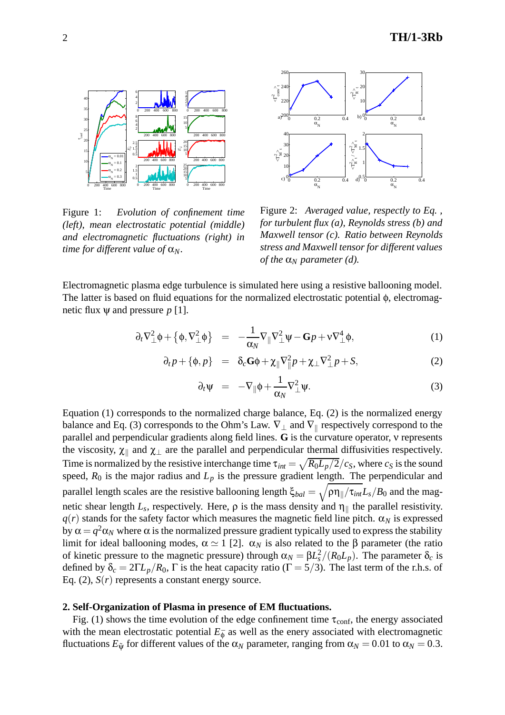

Figure 1: *Evolution of confinement time (left), mean electrostatic potential (middle) and electromagnetic fluctuations (right) in time for different value of*  $\alpha_N$ .



Figure 2: *Averaged value, respectly to Eq. , for turbulent flux (a), Reynolds stress (b) and Maxwell tensor (c). Ratio between Reynolds stress and Maxwell tensor for different values of the*  $\alpha_N$  *parameter (d).* 

Electromagnetic plasma edge turbulence is simulated here using a resistive ballooning model. The latter is based on fluid equations for the normalized electrostatic potential φ, electromagnetic flux  $\psi$  and pressure  $p$  [1].

$$
\partial_t \nabla^2_{\perp} \phi + \left\{ \phi, \nabla^2_{\perp} \phi \right\} = -\frac{1}{\alpha_N} \nabla_{\parallel} \nabla^2_{\perp} \psi - \mathbf{G} p + \nu \nabla^4_{\perp} \phi, \tag{1}
$$

$$
\partial_t p + \{\phi, p\} = \delta_c \mathbf{G} \phi + \chi_{\parallel} \nabla_{\parallel}^2 p + \chi_{\perp} \nabla_{\perp}^2 p + S,\tag{2}
$$

$$
\partial_t \Psi = -\nabla_{\parallel} \Phi + \frac{1}{\alpha_N} \nabla^2_{\perp} \Psi.
$$
 (3)

Equation (1) corresponds to the normalized charge balance, Eq. (2) is the normalized energy balance and Eq. (3) corresponds to the Ohm's Law.  $\nabla_{\perp}$  and  $\nabla_{\parallel}$  respectively correspond to the parallel and perpendicular gradients along field lines. **G** is the curvature operator, ν represents the viscosity,  $\chi_{\parallel}$  and  $\chi_{\perp}$  are the parallel and perpendicular thermal diffusivities respectively. Time is normalized by the resistive interchange time  $\tau_{int} = \sqrt{R_0 L_p/2}/c_S$ , where  $c_S$  is the sound speed,  $R_0$  is the major radius and  $L_p$  is the pressure gradient length. The perpendicular and parallel length scales are the resistive ballooning length  $\xi_{bal} = \sqrt{\rho \eta_{\parallel}/\tau_{int}} L_s/B_0$  and the magnetic shear length  $L_s$ , respectively. Here,  $\rho$  is the mass density and  $\eta_{\parallel}$  the parallel resistivity.  $q(r)$  stands for the safety factor which measures the magnetic field line pitch.  $\alpha_N$  is expressed by  $\alpha = q^2 \alpha_N$  where  $\alpha$  is the normalized pressure gradient typically used to express the stability limit for ideal ballooning modes,  $\alpha \simeq 1$  [2].  $\alpha_N$  is also related to the  $\beta$  parameter (the ratio of kinetic pressure to the magnetic pressure) through  $\alpha_N = \beta L_s^2 / (R_0 L_p)$ . The parameter  $\delta_c$  is defined by  $\delta_c = 2\Gamma L_p/R_0$ ,  $\Gamma$  is the heat capacity ratio ( $\Gamma = 5/3$ ). The last term of the r.h.s. of Eq.  $(2)$ ,  $S(r)$  represents a constant energy source.

## **2. Self-Organization of Plasma in presence of EM fluctuations.**

Fig. (1) shows the time evolution of the edge confinement time  $\tau_{conf}$ , the energy associated with the mean electrostatic potential  $E_{\bar{\phi}}$  as well as the enery associated with electromagnetic fluctuations  $E_{\tilde{\Psi}}$  for different values of the  $\alpha_N$  parameter, ranging from  $\alpha_N = 0.01$  to  $\alpha_N = 0.3$ .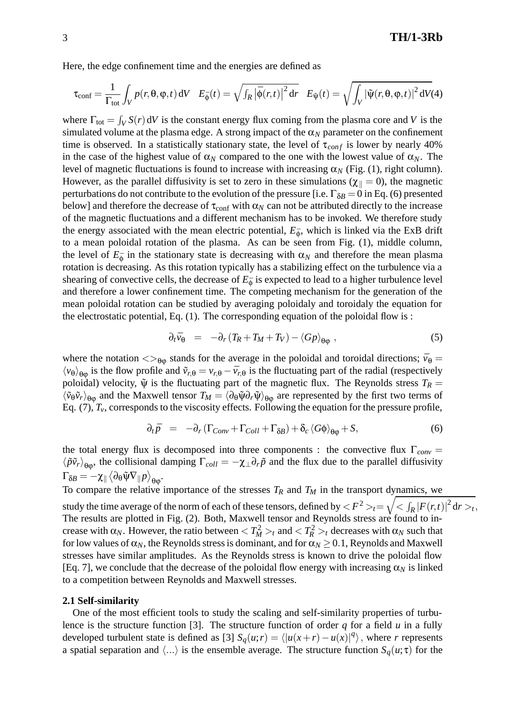Here, the edge confinement time and the energies are defined as

$$
\tau_{\text{conf}} = \frac{1}{\Gamma_{\text{tot}}} \int_{V} p(r, \theta, \varphi, t) \, \mathrm{d}V \quad E_{\bar{\phi}}(t) = \sqrt{\int_{R} |\bar{\phi}(r, t)|^{2} \, \mathrm{d}r} \quad E_{\tilde{\psi}}(t) = \sqrt{\int_{V} |\tilde{\psi}(r, \theta, \varphi, t)|^{2} \, \mathrm{d}V(4)}
$$

where  $\Gamma_{\text{tot}} = \int_V S(r) dV$  is the constant energy flux coming from the plasma core and *V* is the simulated volume at the plasma edge. A strong impact of the  $\alpha_N$  parameter on the confinement time is observed. In a statistically stationary state, the level of  $\tau_{conf}$  is lower by nearly 40% in the case of the highest value of  $\alpha_N$  compared to the one with the lowest value of  $\alpha_N$ . The level of magnetic fluctuations is found to increase with increasing  $\alpha_N$  (Fig. (1), right column). However, as the parallel diffusivity is set to zero in these simulations ( $\chi_{\parallel} = 0$ ), the magnetic perturbations do not contribute to the evolution of the pressure [i.e.  $\Gamma_{\delta B} = 0$  in Eq. (6) presented below] and therefore the decrease of  $\tau_{\text{conf}}$  with  $\alpha_N$  can not be attributed directly to the increase of the magnetic fluctuations and a different mechanism has to be invoked. We therefore study the energy associated with the mean electric potential,  $E_{\bar{\phi}}$ , which is linked via the ExB drift to a mean poloidal rotation of the plasma. As can be seen from Fig. (1), middle column, the level of  $E_{\phi}$  in the stationary state is decreasing with  $\alpha_N$  and therefore the mean plasma rotation is decreasing. As this rotation typically has a stabilizing effect on the turbulence via a shearing of convective cells, the decrease of  $E_{\phi}$  is expected to lead to a higher turbulence level and therefore a lower confinement time. The competing mechanism for the generation of the mean poloidal rotation can be studied by averaging poloidaly and toroidaly the equation for the electrostatic potential, Eq.  $(1)$ . The corresponding equation of the poloidal flow is :

$$
\partial_t \bar{v}_{\theta} = -\partial_r (T_R + T_M + T_V) - \langle Gp \rangle_{\theta \phi} , \qquad (5)
$$

where the notation  $\langle \rangle_{\theta}$  stands for the average in the poloidal and toroidal directions;  $\bar{v}_{\theta}$  =  $\langle v_{\theta} \rangle_{\theta \omega}$  is the flow profile and  $\tilde{v}_{r,\theta} = v_{r,\theta} - \bar{v}_{r,\theta}$  is the fluctuating part of the radial (respectively poloidal) velocity,  $\tilde{\psi}$  is the fluctuating part of the magnetic flux. The Reynolds stress  $T_R$  =  $\langle \tilde{v}_{\theta} \tilde{v}_{r} \rangle_{\theta_{00}}$  and the Maxwell tensor  $T_M = \langle \partial_{\theta} \tilde{\psi} \partial_{r} \tilde{\psi} \rangle_{\theta_{00}}$  are represented by the first two terms of Eq.  $(7)$ ,  $T_v$ , corresponds to the viscosity effects. Following the equation for the pressure profile,

$$
\partial_t \bar{p} = -\partial_r (\Gamma_{Conv} + \Gamma_{Coll} + \Gamma_{\delta B}) + \delta_c \langle G\phi \rangle_{\theta\phi} + S, \tag{6}
$$

the total energy flux is decomposed into three components : the convective flux  $\Gamma_{conv} =$  $\langle \tilde{p} \tilde{v}_r \rangle_{\theta\omega}$ , the collisional damping  $\Gamma_{coll} = -\chi_{\perp} \partial_r \tilde{p}$  and the flux due to the parallel diffusivity  $\Gamma_{\delta B} = -\chi_\parallel \left< \partial_\theta \tilde{\Psi} \nabla_\parallel p \right>_{\theta \phi}.$ 

To compare the relative importance of the stresses  $T_R$  and  $T_M$  in the transport dynamics, we study the time average of the norm of each of these tensors, defined by  $<$   $F^2>_{t}=\sqrt{<\int_{R}{|F(r,t)|}^2{\rm d}r>_{t}},$ The results are plotted in Fig. (2). Both, Maxwell tensor and Reynolds stress are found to increase with  $\alpha_N$ . However, the ratio between  $T_M^2 >_t$  and  $T_R^2 >_t$  decreases with  $\alpha_N$  such that for low values of  $\alpha_N$ , the Reynolds stress is dominant, and for  $\alpha_N \geq 0.1$ , Reynolds and Maxwell stresses have similar amplitudes. As the Reynolds stress is known to drive the poloidal flow [Eq. 7], we conclude that the decrease of the poloidal flow energy with increasing  $\alpha_N$  is linked to a competition between Reynolds and Maxwell stresses.

# **2.1 Self-similarity**

One of the most efficient tools to study the scaling and self-similarity properties of turbulence is the structure function [3]. The structure function of order *q* for a field *u* in a fully developed turbulent state is defined as [3]  $S_q(u;r) = \langle |u(x+r) - u(x)|^q \rangle$ , where *r* represents a spatial separation and  $\langle ... \rangle$  is the ensemble average. The structure function  $S_q(u;\tau)$  for the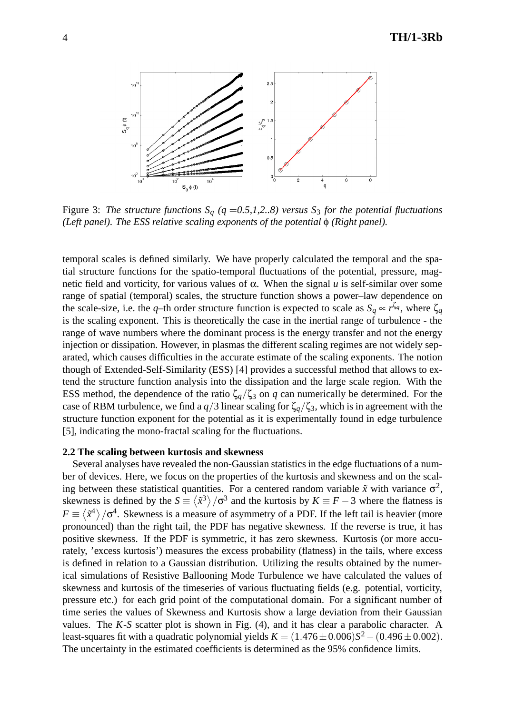

Figure 3: *The structure functions*  $S_q$  ( $q = 0.5, 1, 2, 8$ ) versus  $S_3$  *for the potential fluctuations (Left panel). The ESS relative scaling exponents of the potential* φ *(Right panel).* 

temporal scales is defined similarly. We have properly calculated the temporal and the spatial structure functions for the spatio-temporal fluctuations of the potential, pressure, magnetic field and vorticity, for various values of α. When the signal *u* is self-similar over some range of spatial (temporal) scales, the structure function shows a power–law dependence on the scale-size, i.e. the *q*–th order structure function is expected to scale as  $S_q \propto r^{\zeta_q}$ , where  $\zeta_q$ is the scaling exponent. This is theoretically the case in the inertial range of turbulence - the range of wave numbers where the dominant process is the energy transfer and not the energy injection or dissipation. However, in plasmas the different scaling regimes are not widely separated, which causes difficulties in the accurate estimate of the scaling exponents. The notion though of Extended-Self-Similarity (ESS) [4] provides a successful method that allows to extend the structure function analysis into the dissipation and the large scale region. With the ESS method, the dependence of the ratio  $\zeta_q/\zeta_3$  on *q* can numerically be determined. For the case of RBM turbulence, we find a  $q/3$  linear scaling for  $\zeta_q/\zeta_3$ , which is in agreement with the structure function exponent for the potential as it is experimentally found in edge turbulence [5], indicating the mono-fractal scaling for the fluctuations.

#### **2.2 The scaling between kurtosis and skewness**

Several analyses have revealed the non-Gaussian statistics in the edge fluctuations of a number of devices. Here, we focus on the properties of the kurtosis and skewness and on the scaling between these statistical quantities. For a centered random variable  $\tilde{x}$  with variance  $\sigma^2$ , skewness is defined by the  $S \equiv \langle \tilde{x}^3 \rangle / \sigma^3$  and the kurtosis by  $K \equiv F - 3$  where the flatness is  $F \equiv \langle \tilde{x}^4 \rangle / \sigma^4$ . Skewness is a measure of asymmetry of a PDF. If the left tail is heavier (more pronounced) than the right tail, the PDF has negative skewness. If the reverse is true, it has positive skewness. If the PDF is symmetric, it has zero skewness. Kurtosis (or more accurately, 'excess kurtosis') measures the excess probability (flatness) in the tails, where excess is defined in relation to a Gaussian distribution. Utilizing the results obtained by the numerical simulations of Resistive Ballooning Mode Turbulence we have calculated the values of skewness and kurtosis of the timeseries of various fluctuating fields (e.g. potential, vorticity, pressure etc.) for each grid point of the computational domain. For a significant number of time series the values of Skewness and Kurtosis show a large deviation from their Gaussian values. The *K*-*S* scatter plot is shown in Fig. (4), and it has clear a parabolic character. A least-squares fit with a quadratic polynomial yields  $K = (1.476 \pm 0.006)S^2 - (0.496 \pm 0.002)$ . The uncertainty in the estimated coefficients is determined as the 95% confidence limits.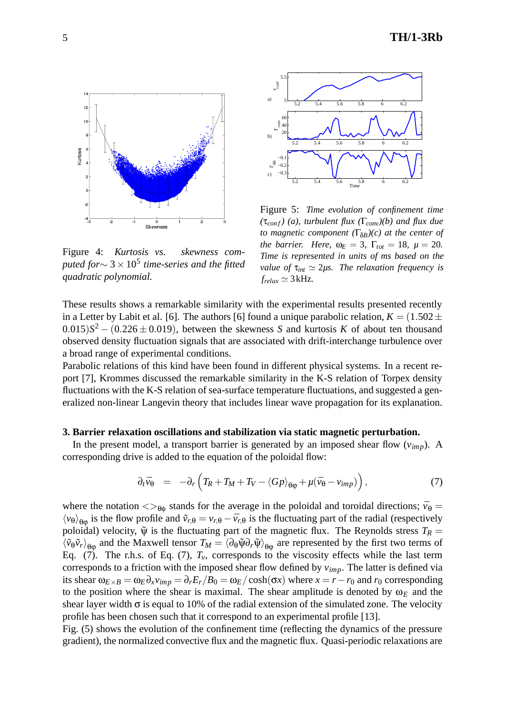

Figure 4: *Kurtosis vs. skewness computed for*∼ 3 ×10<sup>5</sup> *time-series and the fitted quadratic polynomial.*



Figure 5: *Time evolution of confinement time (*τ*con f) (a), turbulent flux (*Γ*conv)(b) and flux due to magnetic component (*Γδ*B)(c) at the center of the barrier. Here,*  $\omega_E = 3$ ,  $\Gamma_{tot} = 18$ ,  $\mu = 20$ . *Time is represented in units of ms based on the value of*  $\tau_{int} \simeq 2\mu s$ . The relaxation frequency is  $f_{relax} \simeq 3 \text{ kHz}$ .

These results shows a remarkable similarity with the experimental results presented recently in a Letter by Labit et al. [6]. The authors [6] found a unique parabolic relation,  $K = (1.502 \pm 1.502)$  $(0.015)S<sup>2</sup> - (0.226 \pm 0.019)$ , between the skewness *S* and kurtosis *K* of about ten thousand observed density fluctuation signals that are associated with drift-interchange turbulence over a broad range of experimental conditions.

Parabolic relations of this kind have been found in different physical systems. In a recent report [7], Krommes discussed the remarkable similarity in the K-S relation of Torpex density fluctuations with the K-S relation of sea-surface temperature fluctuations, and suggested a generalized non-linear Langevin theory that includes linear wave propagation for its explanation.

# **3. Barrier relaxation oscillations and stabilization via static magnetic perturbation.**

In the present model, a transport barrier is generated by an imposed shear flow  $(v_{\text{imp}})$ . A corresponding drive is added to the equation of the poloidal flow:

$$
\partial_t \bar{v}_{\theta} = -\partial_r \left( T_R + T_M + T_V - \langle Gp \rangle_{\theta\phi} + \mu (\bar{v}_{\theta} - v_{imp}) \right), \tag{7}
$$

where the notation  $\langle \rangle_{\theta_0}$  stands for the average in the poloidal and toroidal directions;  $\bar{v}_{\theta} =$  $\langle v_{\theta} \rangle_{\theta \theta}$  is the flow profile and  $\tilde{v}_{r,\theta} = v_{r,\theta} - \bar{v}_{r,\theta}$  is the fluctuating part of the radial (respectively poloidal) velocity,  $\tilde{\psi}$  is the fluctuating part of the magnetic flux. The Reynolds stress  $T_R =$  $\langle \tilde{v}_{\theta} \tilde{v}_{r} \rangle_{\theta_{00}}$  and the Maxwell tensor  $T_M = \langle \partial_{\theta} \tilde{\psi} \partial_{r} \tilde{\psi} \rangle_{\theta_{00}}$  are represented by the first two terms of Eq. (7). The r.h.s. of Eq. (7),  $T_v$ , corresponds to the viscosity effects while the last term corresponds to a friction with the imposed shear flow defined by *vimp*. The latter is defined via its shear  $\omega_{E \times B} = \omega_E \partial_x v_{imp} = \partial_r E_r / B_0 = \omega_E / \cosh(\sigma x)$  where  $x = r - r_0$  and  $r_0$  corresponding to the position where the shear is maximal. The shear amplitude is denoted by  $\omega_F$  and the shear layer width  $\sigma$  is equal to 10% of the radial extension of the simulated zone. The velocity profile has been chosen such that it correspond to an experimental profile [13].

Fig. (5) shows the evolution of the confinement time (reflecting the dynamics of the pressure gradient), the normalized convective flux and the magnetic flux. Quasi-periodic relaxations are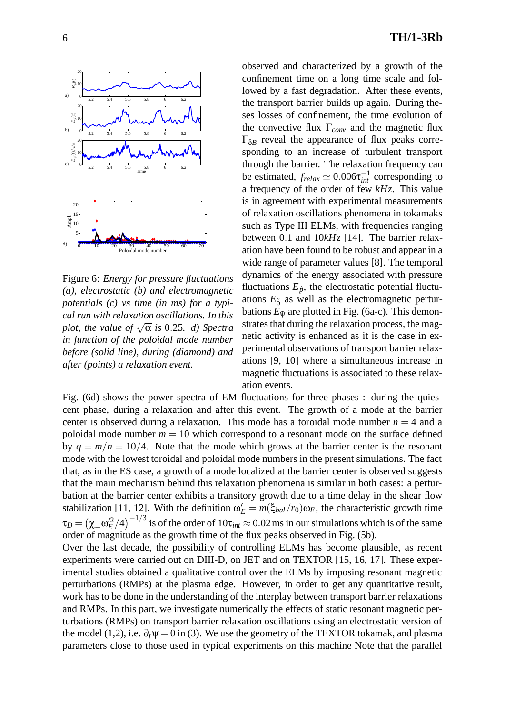

Figure 6: *Energy for pressure fluctuations (a), electrostatic (b) and electromagnetic potentials (c) vs time (in ms) for a typical run with relaxation oscillations. In this plot, the value of*  $\sqrt{\alpha}$  *is* 0.25*. d)* Spectra *in function of the poloidal mode number before (solid line), during (diamond) and after (points) a relaxation event.*

observed and characterized by a growth of the confinement time on a long time scale and followed by a fast degradation. After these events, the transport barrier builds up again. During theses losses of confinement, the time evolution of the convective flux Γ*conv* and the magnetic flux  $\Gamma_{\delta B}$  reveal the appearance of flux peaks corresponding to an increase of turbulent transport through the barrier. The relaxation frequency can be estimated,  $f_{relax} \simeq 0.006 \tau_{int}^{-1}$  corresponding to a frequency of the order of few *kHz*. This value is in agreement with experimental measurements of relaxation oscillations phenomena in tokamaks such as Type III ELMs, with frequencies ranging between 0*.*1 and 10*kHz* [14]. The barrier relaxation have been found to be robust and appear in a wide range of parameter values [8]. The temporal dynamics of the energy associated with pressure fluctuations  $E_{\tilde{p}}$ , the electrostatic potential fluctuations  $E_{\tilde{\phi}}$  as well as the electromagnetic perturbations  $E_{\tilde{\mathbf{y}}}$  are plotted in Fig. (6a-c). This demonstrates that during the relaxation process, the magnetic activity is enhanced as it is the case in experimental observations of transport barrier relaxations [9, 10] where a simultaneous increase in magnetic fluctuations is associated to these relaxation events.

Fig. (6d) shows the power spectra of EM fluctuations for three phases : during the quiescent phase, during a relaxation and after this event. The growth of a mode at the barrier center is observed during a relaxation. This mode has a toroidal mode number  $n = 4$  and a poloidal mode number  $m = 10$  which correspond to a resonant mode on the surface defined by  $q = m/n = 10/4$ . Note that the mode which grows at the barrier center is the resonant mode with the lowest toroidal and poloidal mode numbers in the present simulations. The fact that, as in the ES case, a growth of a mode localized at the barrier center is observed suggests that the main mechanism behind this relaxation phenomena is similar in both cases: a perturbation at the barrier center exhibits a transitory growth due to a time delay in the shear flow stabilization [11, 12]. With the definition  $\omega_E' = m(\xi_{bal}/r_0)\omega_E$ , the characteristic growth time  $\tau_D=\left(\chi_\perp\omega_E'^2/4\right)^{-1/3}$  is of the order of  $10\tau_{int}\approx 0.02\,\rm ms$  in our simulations which is of the same order of magnitude as the growth time of the flux peaks observed in Fig. (5b).

Over the last decade, the possibility of controlling ELMs has become plausible, as recent experiments were carried out on DIII-D, on JET and on TEXTOR [15, 16, 17]. These experimental studies obtained a qualitative control over the ELMs by imposing resonant magnetic perturbations (RMPs) at the plasma edge. However, in order to get any quantitative result, work has to be done in the understanding of the interplay between transport barrier relaxations and RMPs. In this part, we investigate numerically the effects of static resonant magnetic perturbations (RMPs) on transport barrier relaxation oscillations using an electrostatic version of the model (1,2), i.e.  $\partial_t \Psi = 0$  in (3). We use the geometry of the TEXTOR tokamak, and plasma parameters close to those used in typical experiments on this machine Note that the parallel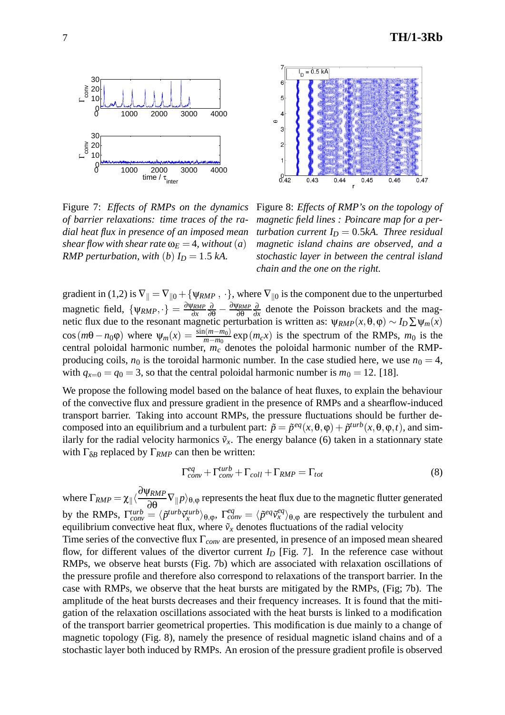



Figure 7: *Effects of RMPs on the dynamics of barrier relaxations: time traces of the radial heat flux in presence of an imposed mean shear flow with shear rate*  $\omega_E = 4$ *, without* (*a*) *RMP perturbation, with* (*b*)  $I_D = 1.5$  *kA.* 

Figure 8: *Effects of RMP's on the topology of magnetic field lines : Poincare map for a perturbation current*  $I_D = 0.5kA$ *. Three residual magnetic island chains are observed, and a stochastic layer in between the central island chain and the one on the right.*

gradient in (1,2) is  $\nabla_{\parallel} = \nabla_{\parallel 0} + {\psi_{RMP}, \cdot}$ , where  $\nabla_{\parallel 0}$  is the component due to the unperturbed magnetic field,  $\{\psi_{RMP}, \cdot\} = \frac{\partial \psi_{RMP}}{\partial x}$  $\frac{\partial}{\partial θ} - \frac{\partial Ψ_{RMP}}{\partial θ}$  $\frac{\partial}{\partial x}$  denote the Poisson brackets and the magnetic flux due to the resonant magnetic perturbation is written as:  $\psi_{RMP}(x,\theta,\phi) \sim I_D \sum \psi_m(x)$ cos( $m\theta - n_0\phi$ ) where  $\Psi_m(x) = \frac{\sin(m-m_0)}{m-m_0} \exp(m_c x)$  is the spectrum of the RMPs,  $m_0$  is the central poloidal harmonic number,  $m_c$  denotes the poloidal harmonic number of the RMPproducing coils,  $n_0$  is the toroidal harmonic number. In the case studied here, we use  $n_0 = 4$ , with  $q_{x=0} = q_0 = 3$ , so that the central poloidal harmonic number is  $m_0 = 12$ . [18].

We propose the following model based on the balance of heat fluxes, to explain the behaviour of the convective flux and pressure gradient in the presence of RMPs and a shearflow-induced transport barrier. Taking into account RMPs, the pressure fluctuations should be further decomposed into an equilibrium and a turbulent part:  $\tilde{p} = \tilde{p}^{eq}(x, \theta, \varphi) + \tilde{p}^{turb}(x, \theta, \varphi, t)$ , and similarly for the radial velocity harmonics  $\tilde{v}_x$ . The energy balance (6) taken in a stationnary state with  $\Gamma_{\delta B}$  replaced by  $\Gamma_{RMP}$  can then be written:

$$
\Gamma_{conv}^{eq} + \Gamma_{conv}^{turb} + \Gamma_{coll} + \Gamma_{RMP} = \Gamma_{tot}
$$
\n(8)

where  $\Gamma_{RMP} = \chi_{\parallel} \langle \frac{\partial \Psi_{RMP}}{\partial \Omega}$  $\frac{\partial P_{RMP}}{\partial \theta} \nabla_{\theta} p_{\theta, \phi}$  represents the heat flux due to the magnetic flutter generated by the RMPs,  $\Gamma_{conv}^{turb} = \langle \tilde{p}^{turb} \tilde{v}_x^{turb} \rangle_{\theta,\phi}$ ,  $\Gamma_{conv}^{eq} = \langle \tilde{p}^{eq} \tilde{v}_x^{eq} \rangle_{\theta,\phi}$  are respectively the turbulent and equilibrium convective heat flux, where  $\tilde{v}_x$  denotes fluctuations of the radial velocity

Time series of the convective flux Γ*conv* are presented, in presence of an imposed mean sheared flow, for different values of the divertor current  $I_D$  [Fig. 7]. In the reference case without RMPs, we observe heat bursts (Fig. 7b) which are associated with relaxation oscillations of the pressure profile and therefore also correspond to relaxations of the transport barrier. In the case with RMPs, we observe that the heat bursts are mitigated by the RMPs, (Fig; 7b). The amplitude of the heat bursts decreases and their frequency increases. It is found that the mitigation of the relaxation oscillations associated with the heat bursts is linked to a modification of the transport barrier geometrical properties. This modification is due mainly to a change of magnetic topology (Fig. 8), namely the presence of residual magnetic island chains and of a stochastic layer both induced by RMPs. An erosion of the pressure gradient profile is observed